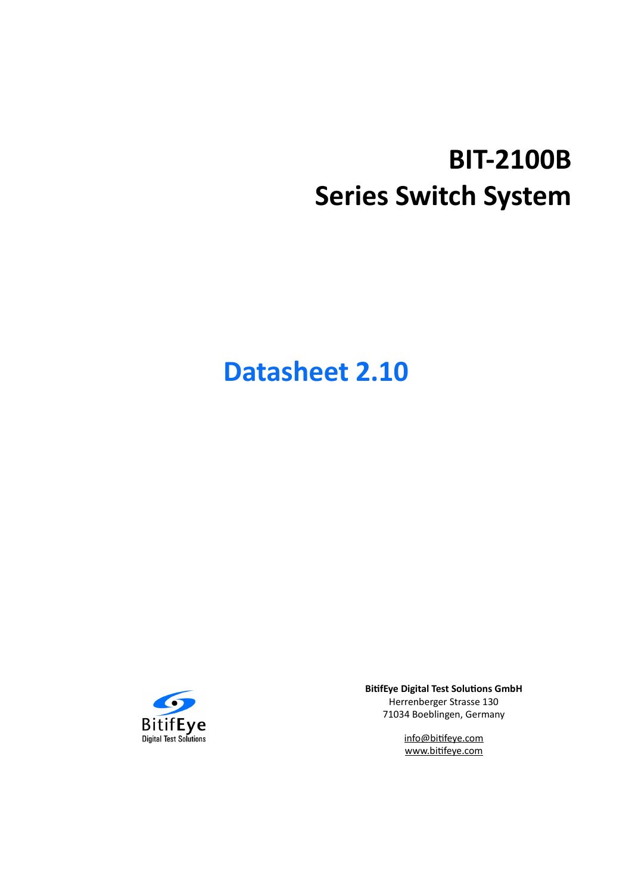# **BIT-2100B Series Switch System**

# **Datasheet 2.10**



**BitifEye Digital Test Solutions GmbH** Herrenberger Strasse 130 71034 Boeblingen, Germany

> info@bitifeye.com www.bitifeye.com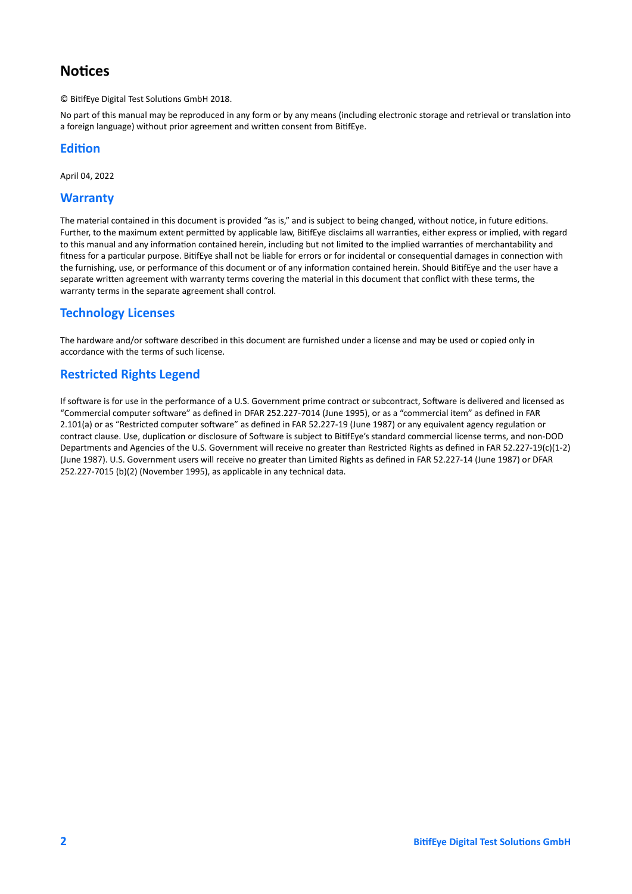# **Notices**

© BitifEye Digital Test Solutions GmbH 2018.

No part of this manual may be reproduced in any form or by any means (including electronic storage and retrieval or translation into a foreign language) without prior agreement and written consent from BitifEye.

#### **Edition**

April 04, 2022

#### **Warranty**

The material contained in this document is provided "as is," and is subject to being changed, without notice, in future editions. Further, to the maximum extent permitted by applicable law, BitifEye disclaims all warranties, either express or implied, with regard to this manual and any information contained herein, including but not limited to the implied warranties of merchantability and fitness for a particular purpose. BitifEye shall not be liable for errors or for incidental or consequential damages in connection with the furnishing, use, or performance of this document or of any information contained herein. Should BitifEye and the user have a separate written agreement with warranty terms covering the material in this document that conflict with these terms, the warranty terms in the separate agreement shall control.

## **Technology Licenses**

The hardware and/or software described in this document are furnished under a license and may be used or copied only in accordance with the terms of such license.

## **Restricted Rights Legend**

If software is for use in the performance of a U.S. Government prime contract or subcontract, Software is delivered and licensed as "Commercial computer software" as defined in DFAR 252.227-7014 (June 1995), or as a "commercial item" as defined in FAR 2.101(a) or as "Restricted computer software" as defined in FAR 52.227-19 (June 1987) or any equivalent agency regulation or contract clause. Use, duplication or disclosure of Software is subject to BitifEye's standard commercial license terms, and non-DOD Departments and Agencies of the U.S. Government will receive no greater than Restricted Rights as defined in FAR 52.227-19(c)(1-2) (June 1987). U.S. Government users will receive no greater than Limited Rights as defined in FAR 52.227-14 (June 1987) or DFAR 252.227-7015 (b)(2) (November 1995), as applicable in any technical data.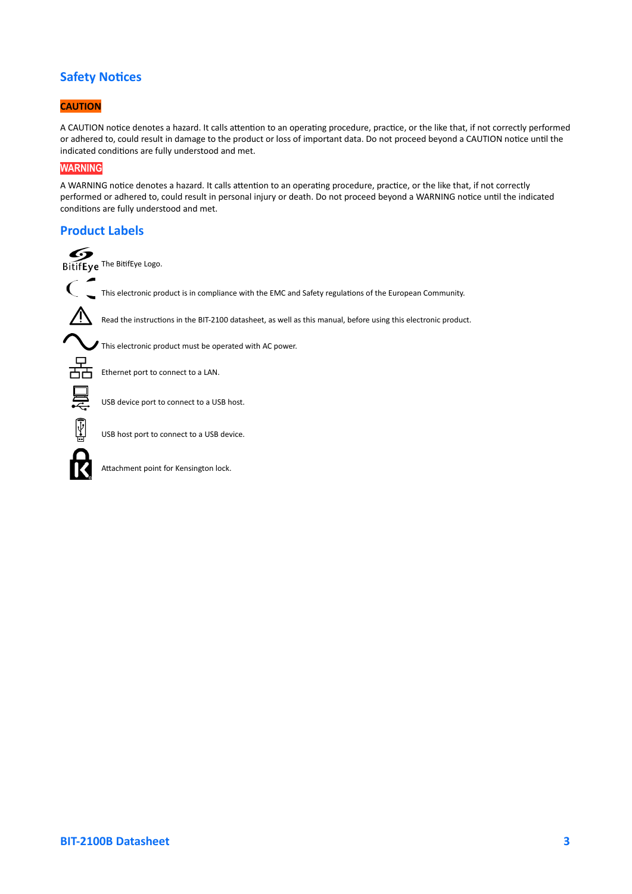## **Safety Notices**

#### **CAUTION**

A CAUTION notice denotes a hazard. It calls attention to an operating procedure, practice, or the like that, if not correctly performed or adhered to, could result in damage to the product or loss of important data. Do not proceed beyond a CAUTION notice until the indicated conditions are fully understood and met.

#### **WARNING**

A WARNING notice denotes a hazard. It calls attention to an operating procedure, practice, or the like that, if not correctly performed or adhered to, could result in personal injury or death. Do not proceed beyond a WARNING notice until the indicated conditions are fully understood and met.

#### **Product Labels**



 $\overline{\Psi}$ 

USB host port to connect to a USB device.

Attachment point for Kensington lock.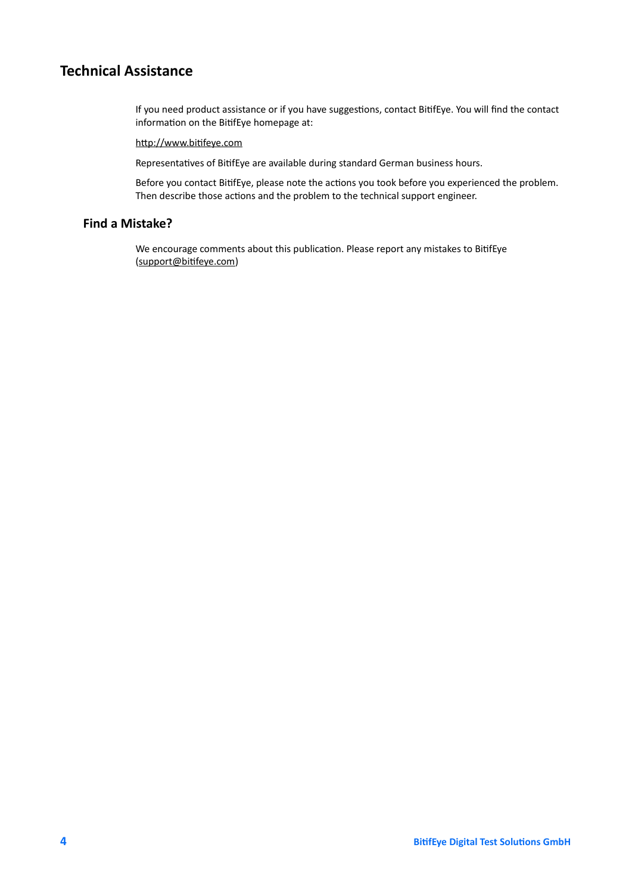# **Technical Assistance**

If you need product assistance or if you have suggestions, contact BitifEye. You will find the contact information on the BitifEye homepage at:

#### [http://www.bitifeye.com](http://www.bitifeye.com/)

Representatives of BitifEye are available during standard German business hours.

Before you contact BitifEye, please note the actions you took before you experienced the problem. Then describe those actions and the problem to the technical support engineer.

### **Find a Mistake?**

We encourage comments about this publication. Please report any mistakes to BitifEye ([support@bitifeye.com\)](mailto:support@bitifeye.com)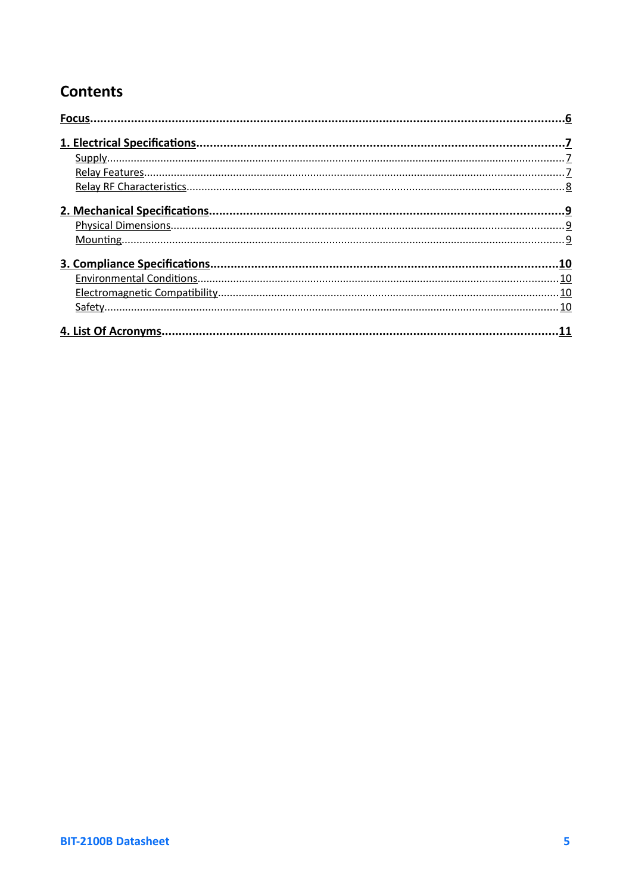# **Contents**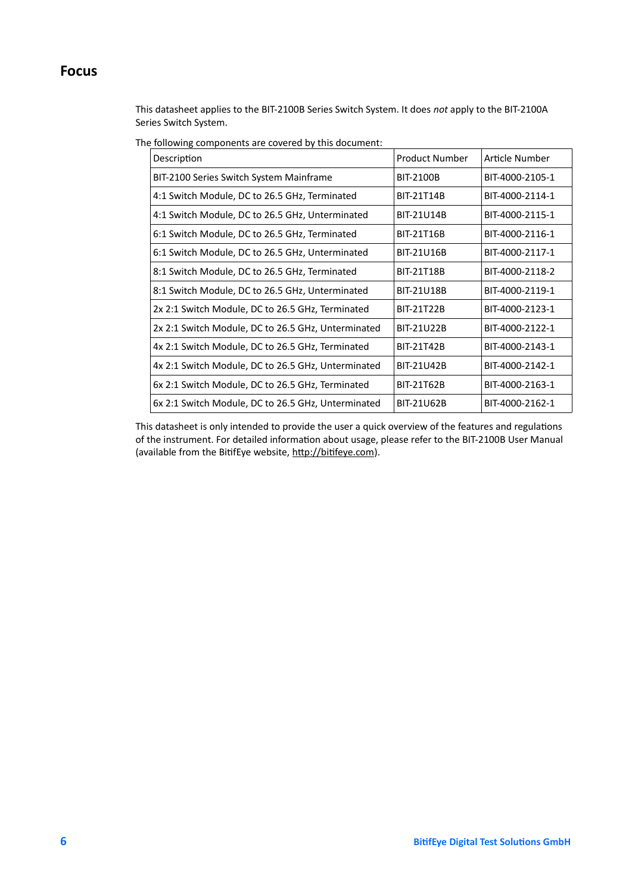## <span id="page-5-0"></span>**Focus**

This datasheet applies to the BIT-2100B Series Switch System. It does *not* apply to the BIT-2100A Series Switch System.

| Description                                        | <b>Product Number</b> | Article Number  |
|----------------------------------------------------|-----------------------|-----------------|
| BIT-2100 Series Switch System Mainframe            | BIT-2100B             | BIT-4000-2105-1 |
| 4:1 Switch Module, DC to 26.5 GHz, Terminated      | BIT-21T14B            | BIT-4000-2114-1 |
| 4:1 Switch Module, DC to 26.5 GHz, Unterminated    | <b>BIT-21U14B</b>     | BIT-4000-2115-1 |
| 6:1 Switch Module, DC to 26.5 GHz, Terminated      | <b>BIT-21T16B</b>     | BIT-4000-2116-1 |
| 6:1 Switch Module, DC to 26.5 GHz, Unterminated    | BIT-21U16B            | BIT-4000-2117-1 |
| 8:1 Switch Module, DC to 26.5 GHz, Terminated      | <b>BIT-21T18B</b>     | BIT-4000-2118-2 |
| 8:1 Switch Module, DC to 26.5 GHz, Unterminated    | <b>BIT-21U18B</b>     | BIT-4000-2119-1 |
| 2x 2:1 Switch Module, DC to 26.5 GHz, Terminated   | BIT-21T22B            | BIT-4000-2123-1 |
| 2x 2:1 Switch Module, DC to 26.5 GHz, Unterminated | BIT-21U22B            | BIT-4000-2122-1 |
| 4x 2:1 Switch Module, DC to 26.5 GHz, Terminated   | BIT-21T42B            | BIT-4000-2143-1 |
| 4x 2:1 Switch Module, DC to 26.5 GHz, Unterminated | BIT-21U42B            | BIT-4000-2142-1 |
| 6x 2:1 Switch Module, DC to 26.5 GHz, Terminated   | <b>BIT-21T62B</b>     | BIT-4000-2163-1 |
| 6x 2:1 Switch Module, DC to 26.5 GHz, Unterminated | BIT-21U62B            | BIT-4000-2162-1 |

The following components are covered by this document:

This datasheet is only intended to provide the user a quick overview of the features and regulations of the instrument. For detailed information about usage, please refer to the BIT-2100B User Manual (available from the BitifEye website, [http://bitifeye.com\)](http://bitifeye.com/).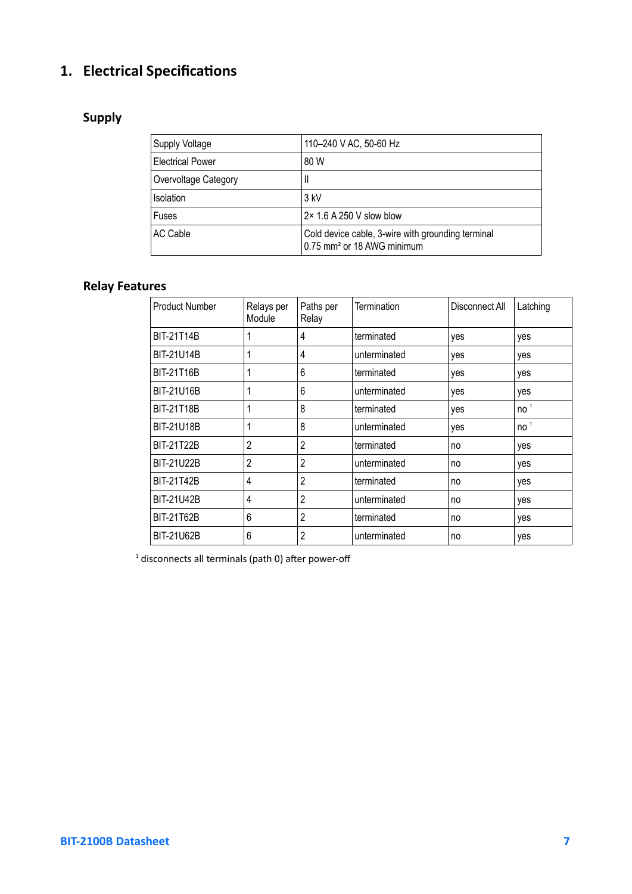# <span id="page-6-2"></span>**1. Electrical Specifications**

# <span id="page-6-1"></span>**Supply**

| Supply Voltage          | 110-240 V AC, 50-60 Hz                                                                      |
|-------------------------|---------------------------------------------------------------------------------------------|
| <b>Electrical Power</b> | 80 W                                                                                        |
| Overvoltage Category    | Ш                                                                                           |
| Isolation               | 3 kV                                                                                        |
| Fuses                   | 2× 1.6 A 250 V slow blow                                                                    |
| AC Cable                | Cold device cable, 3-wire with grounding terminal<br>0.75 mm <sup>2</sup> or 18 AWG minimum |

## <span id="page-6-0"></span>**Relay Features**

| <b>Product Number</b> | Relays per<br>Module | Paths per<br>Relay | <b>Termination</b> | Disconnect All | Latching        |
|-----------------------|----------------------|--------------------|--------------------|----------------|-----------------|
| <b>BIT-21T14B</b>     |                      | 4                  | terminated         | yes            | yes             |
| <b>BIT-21U14B</b>     | 1                    | 4                  | unterminated       | yes            | yes             |
| <b>BIT-21T16B</b>     |                      | 6                  | terminated         | yes            | yes             |
| BIT-21U16B            | 1                    | 6                  | unterminated       | yes            | yes             |
| <b>BIT-21T18B</b>     | 1                    | 8                  | terminated         | yes            | no <sup>1</sup> |
| <b>BIT-21U18B</b>     |                      | 8                  | unterminated       | yes            | no <sup>1</sup> |
| <b>BIT-21T22B</b>     | 2                    | 2                  | terminated         | no             | yes             |
| <b>BIT-21U22B</b>     | $\overline{c}$       | 2                  | unterminated       | no             | yes             |
| <b>BIT-21T42B</b>     | 4                    | $\overline{2}$     | terminated         | no             | yes             |
| <b>BIT-21U42B</b>     | 4                    | 2                  | unterminated       | no             | yes             |
| <b>BIT-21T62B</b>     | 6                    | 2                  | terminated         | no             | yes             |
| <b>BIT-21U62B</b>     | 6                    | 2                  | unterminated       | no             | yes             |

 $<sup>1</sup>$  disconnects all terminals (path 0) after power-off</sup>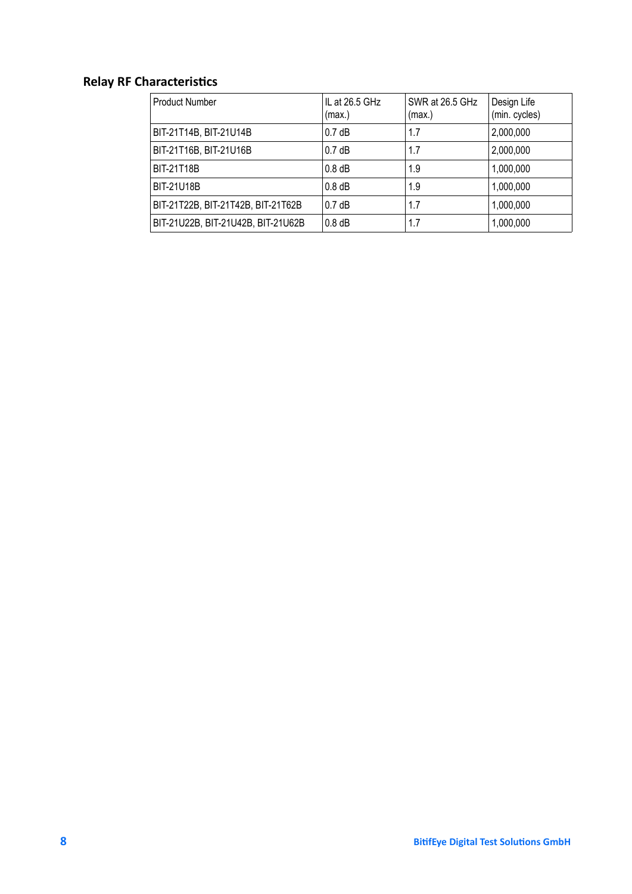# <span id="page-7-0"></span>**Relay RF Characteristics**

| <b>Product Number</b>              | IL at 26.5 GHz<br>(max.) | SWR at 26.5 GHz<br>(max.) | Design Life<br>(min. cycles) |
|------------------------------------|--------------------------|---------------------------|------------------------------|
| BIT-21T14B, BIT-21U14B             | 0.7dB                    | 1.7                       | 2,000,000                    |
| BIT-21T16B, BIT-21U16B             | 0.7dB                    | 1.7                       | 2,000,000                    |
| BIT-21T18B                         | $0.8$ dB                 | 1.9                       | 1,000,000                    |
| BIT-21U18B                         | $0.8$ dB                 | 1.9                       | 1,000,000                    |
| BIT-21T22B, BIT-21T42B, BIT-21T62B | 0.7dB                    | 1.7                       | 1,000,000                    |
| BIT-21U22B, BIT-21U42B, BIT-21U62B | $0.8$ dB                 | 1.7                       | 1,000,000                    |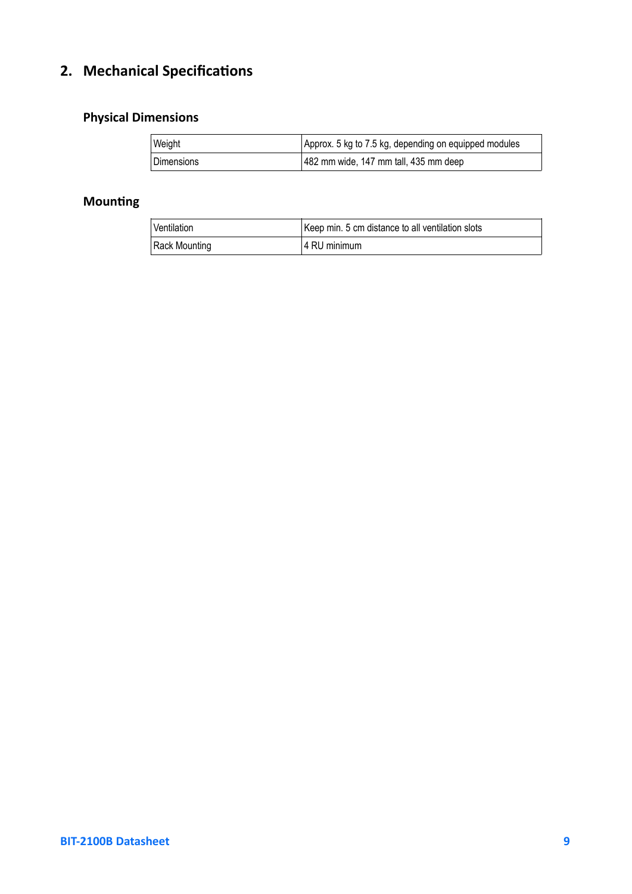# <span id="page-8-2"></span>**2. Mechanical Specifications**

# <span id="page-8-1"></span>**Physical Dimensions**

| Weight            | Approx. 5 kg to 7.5 kg, depending on equipped modules |
|-------------------|-------------------------------------------------------|
| <b>Dimensions</b> | 482 mm wide, 147 mm tall, 435 mm deep                 |

# <span id="page-8-0"></span>**Mounting**

| Ventilation   | Keep min. 5 cm distance to all ventilation slots |
|---------------|--------------------------------------------------|
| Rack Mounting | l 4 RU minimum                                   |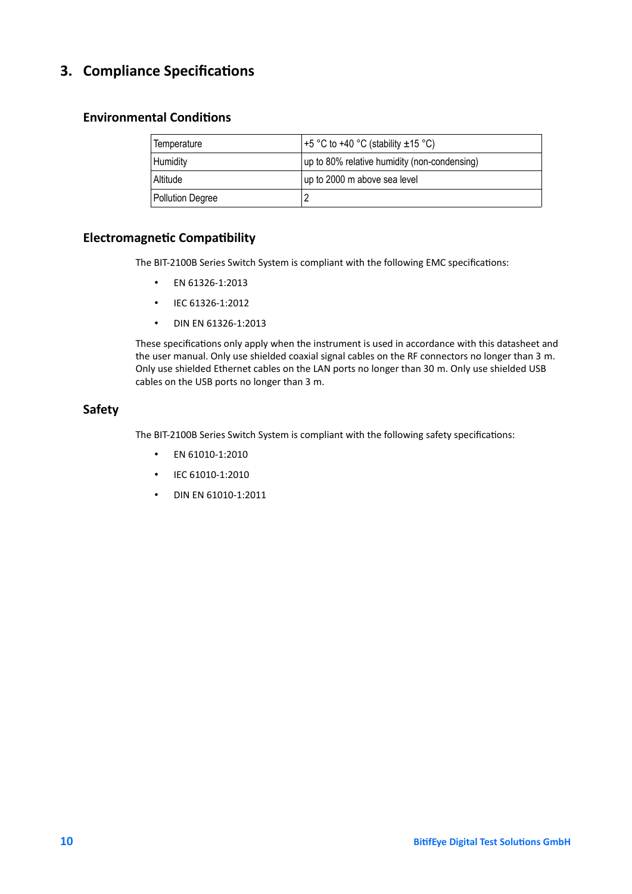# <span id="page-9-3"></span>**3. Compliance Specifications**

## <span id="page-9-2"></span>**Environmental Conditions**

| Temperature             | +5 °C to +40 °C (stability $\pm$ 15 °C)      |
|-------------------------|----------------------------------------------|
| Humidity                | up to 80% relative humidity (non-condensing) |
| Altitude                | up to 2000 m above sea level                 |
| <b>Pollution Degree</b> |                                              |

## <span id="page-9-1"></span>**Electromagnetic Compatibility**

The BIT-2100B Series Switch System is compliant with the following EMC specifications:

- EN 61326-1:2013
- IEC 61326-1:2012
- DIN EN 61326-1:2013

These specifications only apply when the instrument is used in accordance with this datasheet and the user manual. Only use shielded coaxial signal cables on the RF connectors no longer than 3 m. Only use shielded Ethernet cables on the LAN ports no longer than 30 m. Only use shielded USB cables on the USB ports no longer than 3 m.

### <span id="page-9-0"></span>**Safety**

The BIT-2100B Series Switch System is compliant with the following safety specifications:

- EN 61010-1:2010
- IEC 61010-1:2010
- DIN EN 61010-1:2011